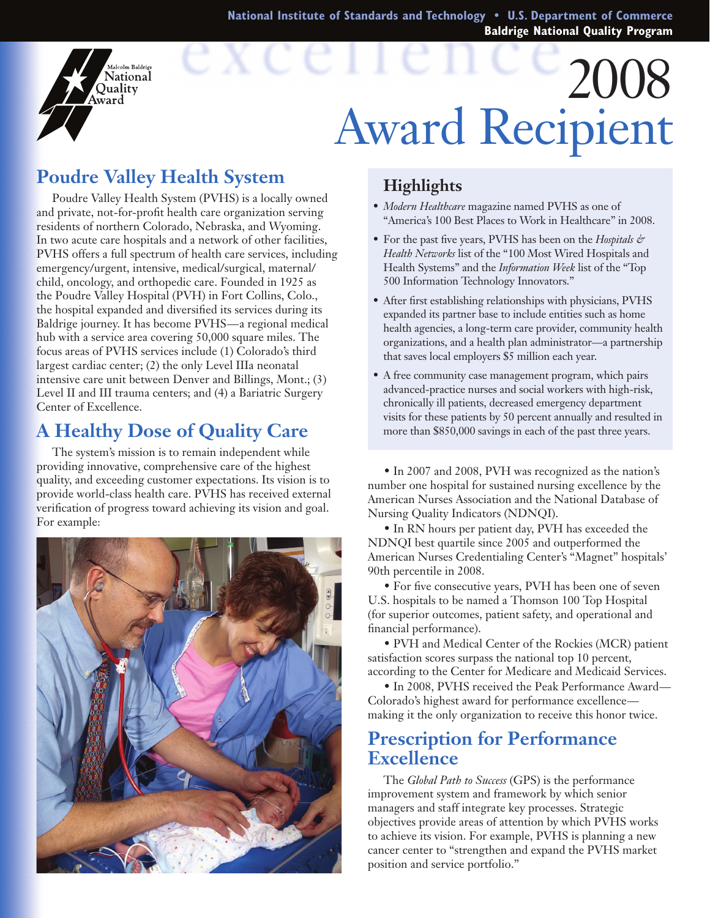**National Institute of Standards and Technology • U.S. Department of Commerce Baldrige National Quality Program**

# 2008 Award Recipient

## **Poudre Valley Health System**

falcolm Baldrige National Ouality ward

Poudre Valley Health System (PVHS) is a locally owned and private, not-for-profit health care organization serving residents of northern Colorado, Nebraska, and Wyoming. In two acute care hospitals and a network of other facilities, PVHS offers a full spectrum of health care services, including emergency/urgent, intensive, medical/surgical, maternal/ child, oncology, and orthopedic care. Founded in 1925 as the Poudre Valley Hospital (PVH) in Fort Collins, Colo., the hospital expanded and diversified its services during its Baldrige journey. It has become PVHS—a regional medical hub with a service area covering 50,000 square miles. The focus areas of PVHS services include (1) Colorado's third largest cardiac center; (2) the only Level IIIa neonatal intensive care unit between Denver and Billings, Mont.; (3) Level II and III trauma centers; and (4) a Bariatric Surgery Center of Excellence.

## **A Healthy Dose of Quality Care**

The system's mission is to remain independent while providing innovative, comprehensive care of the highest quality, and exceeding customer expectations. Its vision is to provide world-class health care. PVHS has received external verification of progress toward achieving its vision and goal. For example:



#### **Highlights**

- • *Modern Healthcare* magazine named PVHS as one of "America's 100 Best Places to Work in Healthcare" in 2008.
- For the past five years, PVHS has been on the *Hospitals & Health Networks* list of the "100 Most Wired Hospitals and Health Systems" and the *Information Week* list of the "Top 500 Information Technology Innovators."
- • After first establishing relationships with physicians, PVHS expanded its partner base to include entities such as home health agencies, a long-term care provider, community health organizations, and a health plan administrator—a partnership that saves local employers \$5 million each year.
- • A free community case management program, which pairs advanced-practice nurses and social workers with high-risk, chronically ill patients, decreased emergency department visits for these patients by 50 percent annually and resulted in more than \$850,000 savings in each of the past three years.

 • In 2007 and 2008, PVH was recognized as the nation's number one hospital for sustained nursing excellence by the American Nurses Association and the National Database of Nursing Quality Indicators (NDNQI).

• In RN hours per patient day, PVH has exceeded the NDNQI best quartile since 2005 and outperformed the American Nurses Credentialing Center's "Magnet" hospitals' 90th percentile in 2008.

• For five consecutive years, PVH has been one of seven U.S. hospitals to be named a Thomson 100 Top Hospital (for superior outcomes, patient safety, and operational and financial performance).

 • PVH and Medical Center of the Rockies (MCR) patient satisfaction scores surpass the national top 10 percent, according to the Center for Medicare and Medicaid Services.

• In 2008, PVHS received the Peak Performance Award— Colorado's highest award for performance excellence making it the only organization to receive this honor twice.

### **Prescription for Performance Excellence**

The *Global Path to Success* (GPS) is the performance improvement system and framework by which senior managers and staff integrate key processes. Strategic objectives provide areas of attention by which PVHS works to achieve its vision. For example, PVHS is planning a new cancer center to "strengthen and expand the PVHS market position and service portfolio."